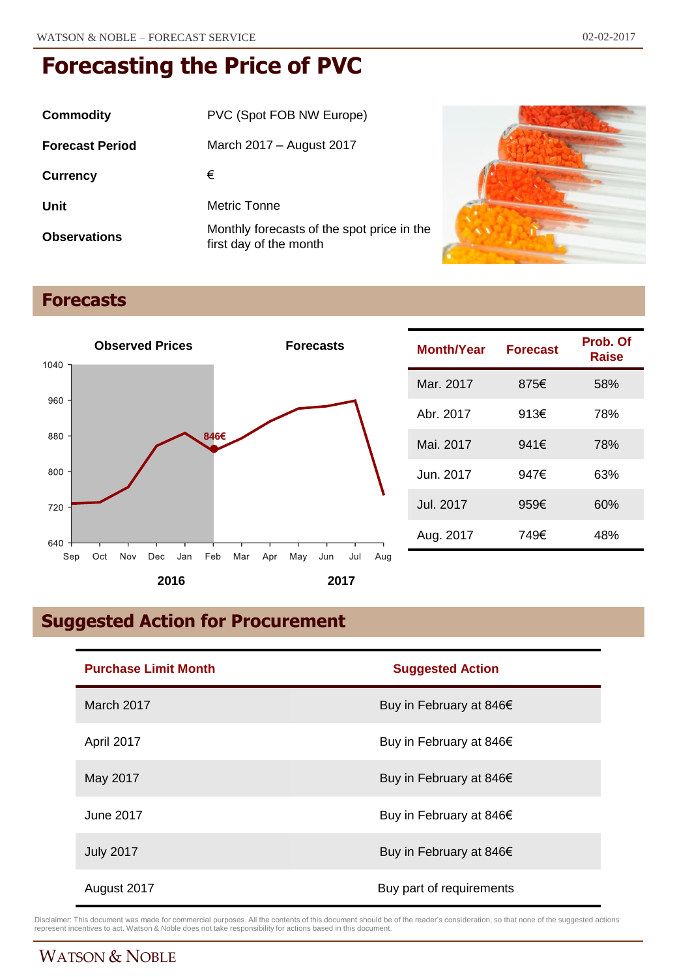| Commodity              | PVC (Spot FOB NW Europe)                                             |
|------------------------|----------------------------------------------------------------------|
| <b>Forecast Period</b> | March 2017 – August 2017                                             |
| <b>Currency</b>        | €                                                                    |
| Unit                   | Metric Tonne                                                         |
| <b>Observations</b>    | Monthly forecasts of the spot price in the<br>first day of the month |



# **Forecasts**



| Month/Year | <b>Forecast</b> | Prob. Of<br>Raise |
|------------|-----------------|-------------------|
| Mar. 2017  | 875€            | 58%               |
| Abr. 2017  | 913€            | 78%               |
| Mai. 2017  | 941€            | 78%               |
| Jun. 2017  | 947€            | 63%               |
| Jul. 2017  | 959€            | 60%               |
| Aug. 2017  | 749€            | 48%               |

# **Suggested Action for Procurement**

| <b>Purchase Limit Month</b> | <b>Suggested Action</b>  |  |
|-----------------------------|--------------------------|--|
| March 2017                  | Buy in February at 846€  |  |
| April 2017                  | Buy in February at 846€  |  |
| May 2017                    | Buy in February at 846€  |  |
| June 2017                   | Buy in February at 846€  |  |
| <b>July 2017</b>            | Buy in February at 846€  |  |
| August 2017                 | Buy part of requirements |  |

Disclaimer: This document was made for commercial purposes. All the contents of this document should be of the reader's consideration, so that none of the suggested actions<br>represent incentives to act. Watson & Noble does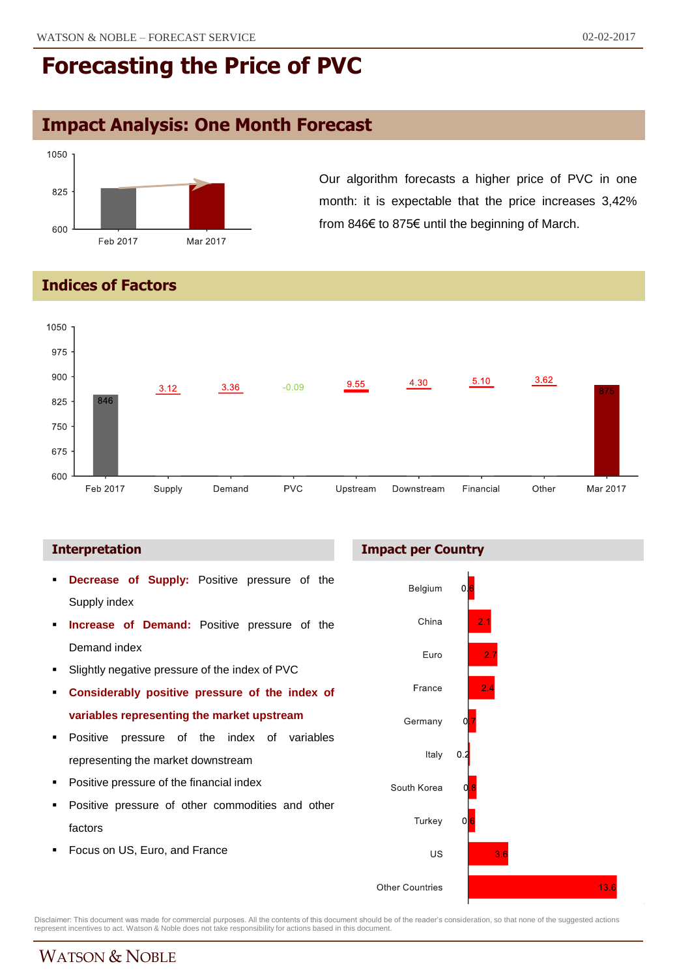## **Impact Analysis: One Month Forecast**



Our algorithm forecasts a higher price of PVC in one month: it is expectable that the price increases 3,42% from 846€ to 875€ until the beginning of March.

### **Indices of Factors**



### **Interpretation**

- **Decrease of Supply:** Positive pressure of the Supply index
- **Increase of Demand:** Positive pressure of the Demand index
- Slightly negative pressure of the index of PVC
- **Considerably positive pressure of the index of variables representing the market upstream**
- **Positive pressure of the index of variables** representing the market downstream
- Positive pressure of the financial index
- Positive pressure of other commodities and other factors
- Focus on US, Euro, and France

### **Impact per Country**



Disclaimer: This document was made for commercial purposes. All the contents of this document should be of the reader's consideration, so that none of the suggested actions<br>represent incentives to act. Watson & Noble does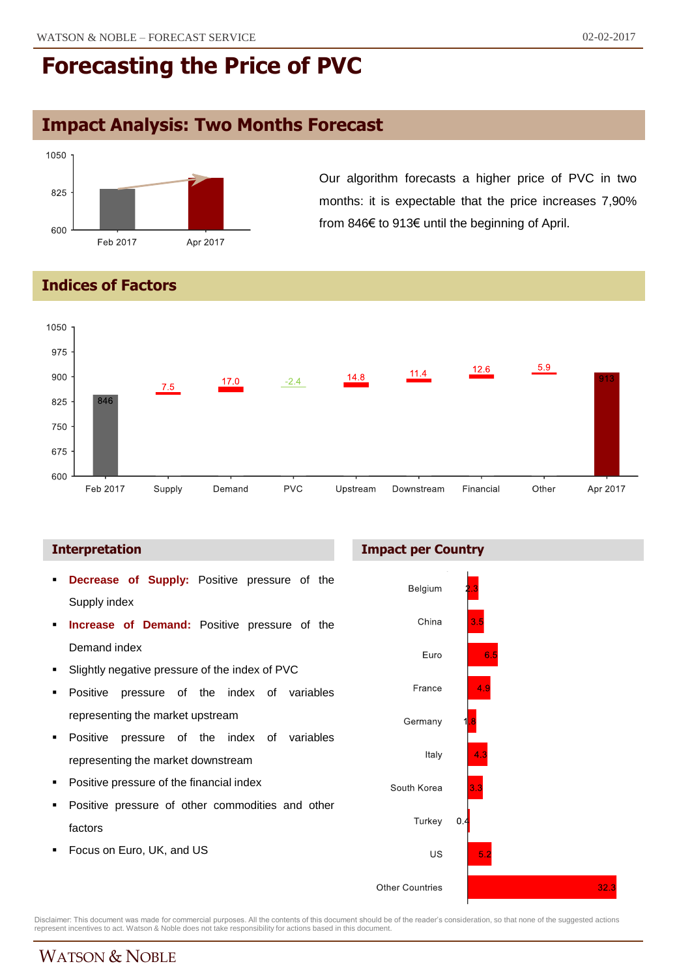## **Impact Analysis: Two Months Forecast**



Our algorithm forecasts a higher price of PVC in two months: it is expectable that the price increases 7,90% from 846€ to 913€ until the beginning of April.

### **Indices of Factors**



- **Decrease of Supply:** Positive pressure of the Supply index
- **Increase of Demand:** Positive pressure of the Demand index
- Slightly negative pressure of the index of PVC
- Positive pressure of the index of variables representing the market upstream
- **Positive pressure of the index of variables** representing the market downstream
- Positive pressure of the financial index
- Positive pressure of other commodities and other factors
- Focus on Euro, UK, and US

### **Interpretation Impact per Country**



Disclaimer: This document was made for commercial purposes. All the contents of this document should be of the reader's consideration, so that none of the suggested actions<br>represent incentives to act. Watson & Noble does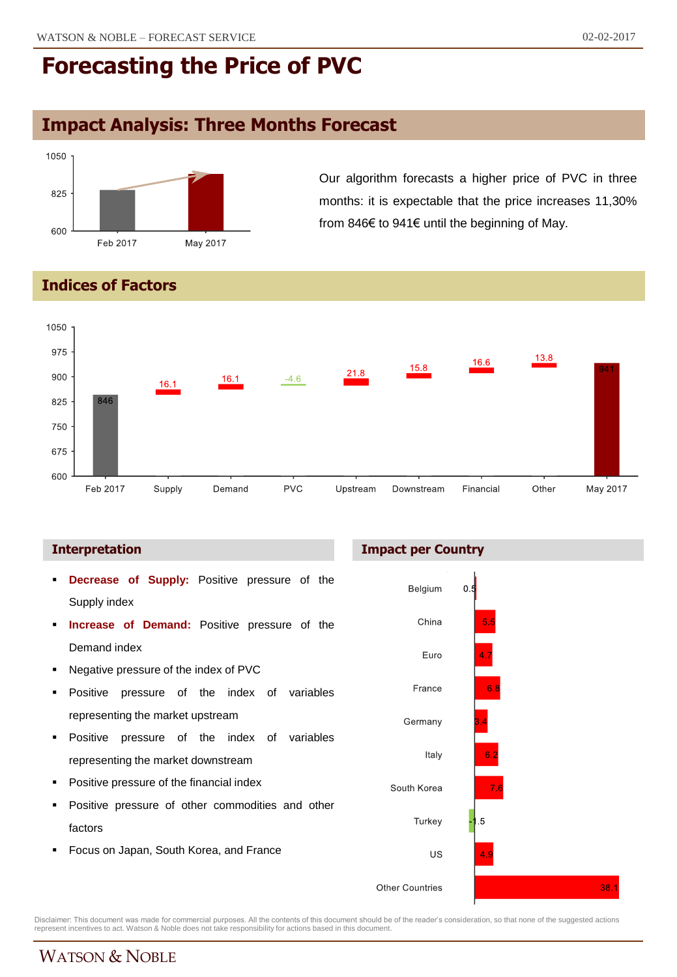# **Impact Analysis: Three Months Forecast**



Our algorithm forecasts a higher price of PVC in three months: it is expectable that the price increases 11,30% from 846€ to 941€ until the beginning of May.

### **Indices of Factors**



- **Decrease of Supply:** Positive pressure of the Supply index **Increase of Demand:** Positive pressure of the Demand index Negative pressure of the index of PVC Positive pressure of the index of variables representing the market upstream
- **Positive pressure of the index of variables** representing the market downstream
- Positive pressure of the financial index
- Positive pressure of other commodities and other factors
- Focus on Japan, South Korea, and France

### **Interpretation Impact per Country**



Disclaimer: This document was made for commercial purposes. All the contents of this document should be of the reader's consideration, so that none of the suggested actions<br>represent incentives to act. Watson & Noble does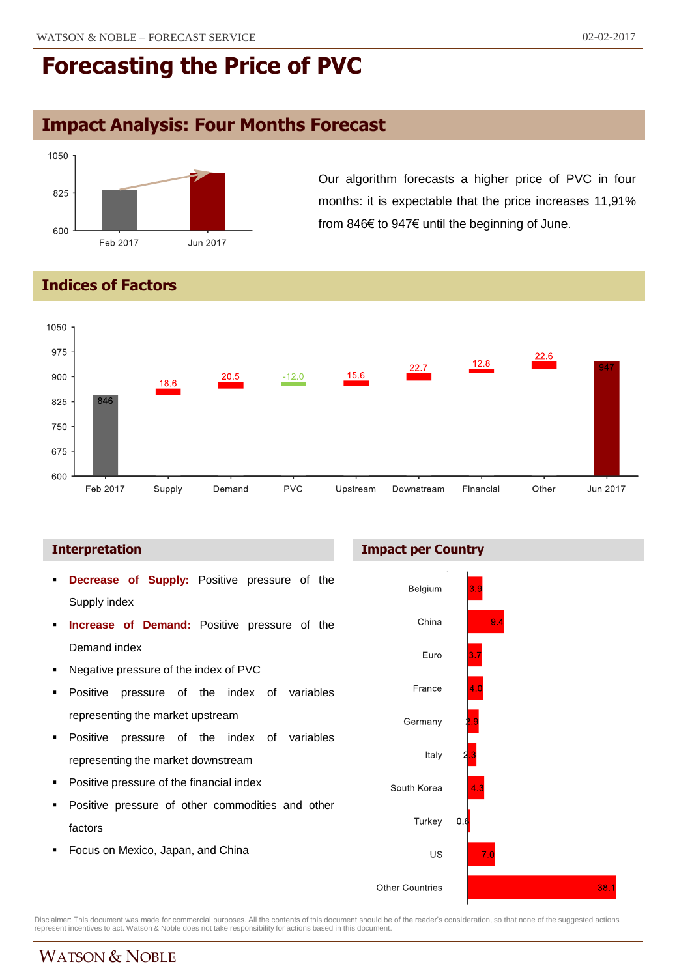# **Impact Analysis: Four Months Forecast**



Our algorithm forecasts a higher price of PVC in four months: it is expectable that the price increases 11,91% from 846€ to 947€ until the beginning of June.

### **Indices of Factors**



- **Decrease of Supply:** Positive pressure of the Supply index
- **Increase of Demand:** Positive pressure of the Demand index
- Negative pressure of the index of PVC
- Positive pressure of the index of variables representing the market upstream
- **Positive pressure of the index of variables** representing the market downstream
- Positive pressure of the financial index
- Positive pressure of other commodities and other factors
- Focus on Mexico, Japan, and China

### **Interpretation Impact per Country**



Disclaimer: This document was made for commercial purposes. All the contents of this document should be of the reader's consideration, so that none of the suggested actions<br>represent incentives to act. Watson & Noble does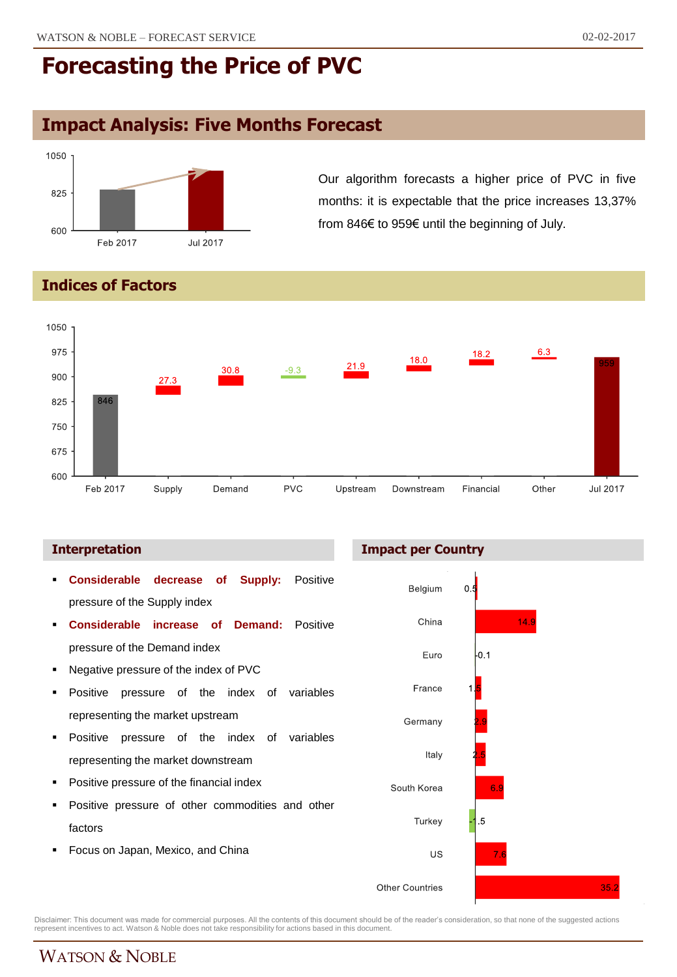## **Impact Analysis: Five Months Forecast**



Our algorithm forecasts a higher price of PVC in five months: it is expectable that the price increases 13,37% from 846€ to 959€ until the beginning of July.

### **Indices of Factors**



### **Interpretation Impact per Country**



Disclaimer: This document was made for commercial purposes. All the contents of this document should be of the reader's consideration, so that none of the suggested actions<br>represent incentives to act. Watson & Noble does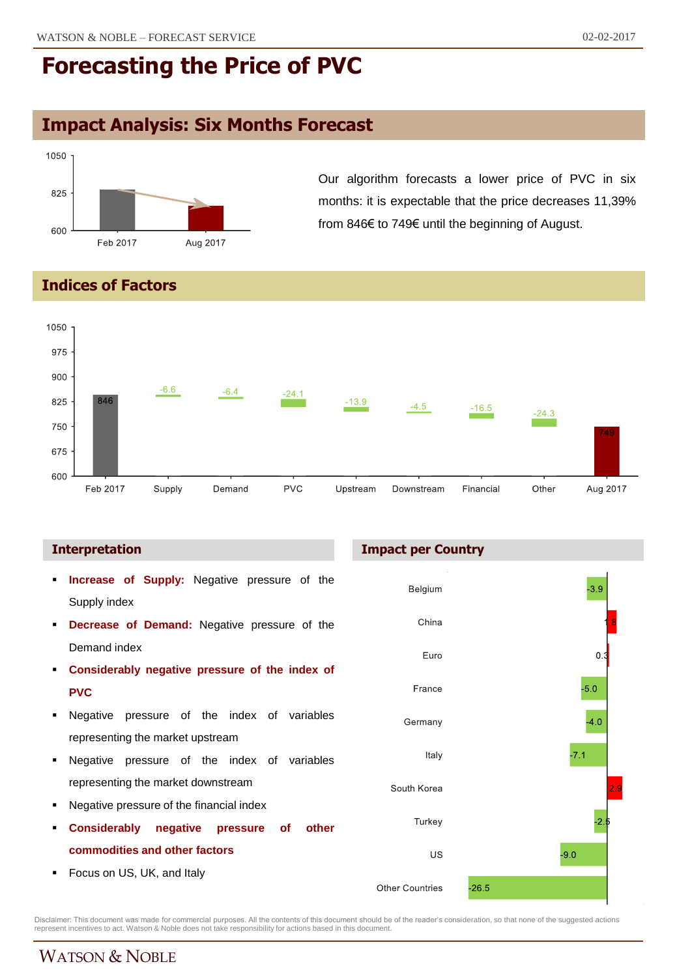## **Impact Analysis: Six Months Forecast**



Our algorithm forecasts a lower price of PVC in six months: it is expectable that the price decreases 11,39% from 846€ to 749€ until the beginning of August.

### **Indices of Factors**



- **Increase of Supply:** Negative pressure of the Supply index
- **Decrease of Demand:** Negative pressure of the Demand index
- **Considerably negative pressure of the index of PVC**
- **Negative pressure of the index of variables** representing the market upstream
- Negative pressure of the index of variables representing the market downstream
- Negative pressure of the financial index
- **Considerably negative pressure of other commodities and other factors**
- **Focus on US, UK, and Italy**

### **Interpretation Impact per Country**



Disclaimer: This document was made for commercial purposes. All the contents of this document should be of the reader's consideration, so that none of the suggested actions<br>represent incentives to act. Watson & Noble does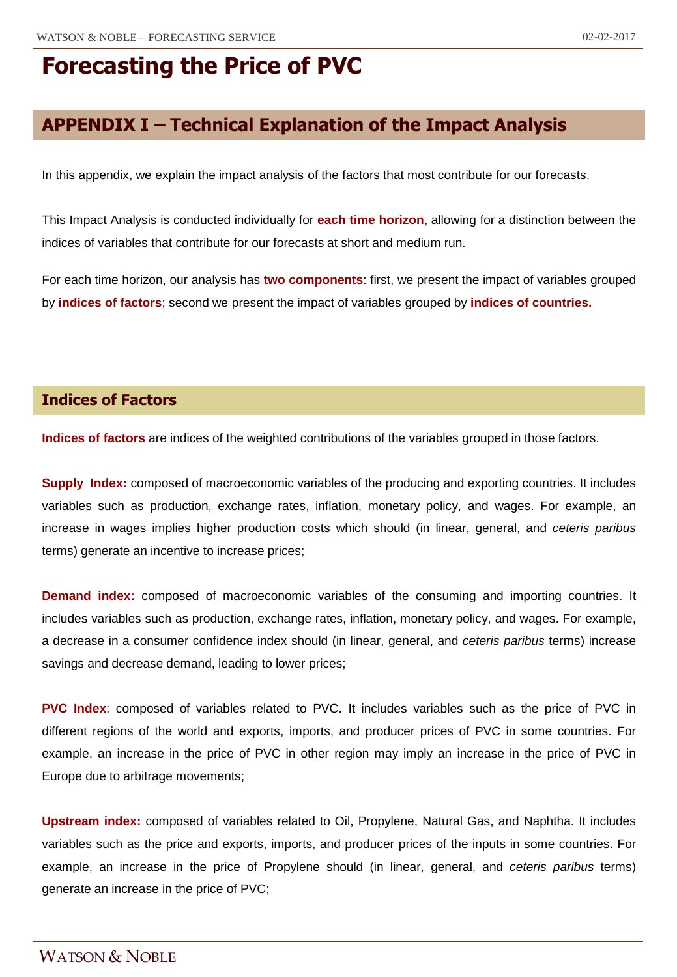## **APPENDIX I – Technical Explanation of the Impact Analysis**

In this appendix, we explain the impact analysis of the factors that most contribute for our forecasts.

This Impact Analysis is conducted individually for **each time horizon**, allowing for a distinction between the indices of variables that contribute for our forecasts at short and medium run.

For each time horizon, our analysis has **two components**: first, we present the impact of variables grouped by **indices of factors**; second we present the impact of variables grouped by **indices of countries.**

### **Indices of Factors**

**Indices of factors** are indices of the weighted contributions of the variables grouped in those factors.

**Supply Index:** composed of macroeconomic variables of the producing and exporting countries. It includes variables such as production, exchange rates, inflation, monetary policy, and wages. For example, an increase in wages implies higher production costs which should (in linear, general, and *ceteris paribus* terms) generate an incentive to increase prices;

**Demand index:** composed of macroeconomic variables of the consuming and importing countries. It includes variables such as production, exchange rates, inflation, monetary policy, and wages. For example, a decrease in a consumer confidence index should (in linear, general, and *ceteris paribus* terms) increase savings and decrease demand, leading to lower prices;

**PVC Index**: composed of variables related to PVC. It includes variables such as the price of PVC in different regions of the world and exports, imports, and producer prices of PVC in some countries. For example, an increase in the price of PVC in other region may imply an increase in the price of PVC in Europe due to arbitrage movements;

**Upstream index:** composed of variables related to Oil, Propylene, Natural Gas, and Naphtha. It includes variables such as the price and exports, imports, and producer prices of the inputs in some countries. For example, an increase in the price of Propylene should (in linear, general, and *ceteris paribus* terms) generate an increase in the price of PVC;